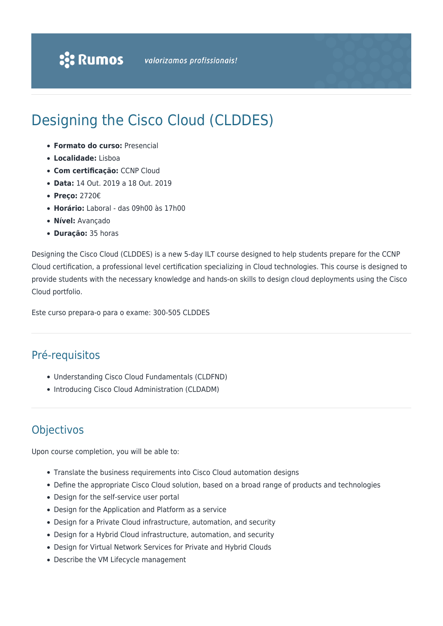# Designing the Cisco Cloud (CLDDES)

- **Formato do curso:** Presencial
- **Localidade:** Lisboa
- **Com certificação:** CCNP Cloud
- **Data:** 14 Out. 2019 a 18 Out. 2019
- **Preço:** 2720€
- **Horário:** Laboral das 09h00 às 17h00
- **Nível:** Avançado
- **Duração:** 35 horas

Designing the Cisco Cloud (CLDDES) is a new 5-day ILT course designed to help students prepare for the CCNP Cloud certification, a professional level certification specializing in Cloud technologies. This course is designed to provide students with the necessary knowledge and hands-on skills to design cloud deployments using the Cisco Cloud portfolio.

Este curso prepara-o para o exame: 300-505 CLDDES

## Pré-requisitos

- Understanding Cisco Cloud Fundamentals (CLDFND)
- Introducing Cisco Cloud Administration (CLDADM)

# Objectivos

Upon course completion, you will be able to:

- Translate the business requirements into Cisco Cloud automation designs
- Define the appropriate Cisco Cloud solution, based on a broad range of products and technologies
- Design for the self-service user portal
- Design for the Application and Platform as a service
- Design for a Private Cloud infrastructure, automation, and security
- Design for a Hybrid Cloud infrastructure, automation, and security
- Design for Virtual Network Services for Private and Hybrid Clouds
- Describe the VM Lifecycle management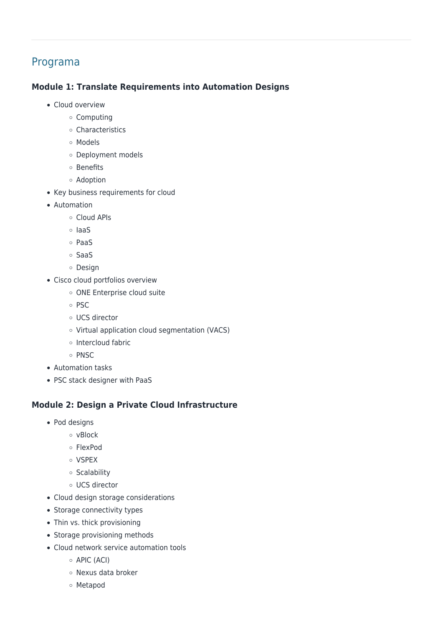## Programa

#### **Module 1: Translate Requirements into Automation Designs**

- Cloud overview
	- Computing
	- Characteristics
	- Models
	- Deployment models
	- o Benefits
	- Adoption
- Key business requirements for cloud
- Automation
	- Cloud APIs
	- IaaS
	- PaaS
	- SaaS
	- o Design
- Cisco cloud portfolios overview
	- o ONE Enterprise cloud suite
	- $\circ$  PSC
	- UCS director
	- Virtual application cloud segmentation (VACS)
	- o Intercloud fabric
	- $\circ$  PNSC
- Automation tasks
- PSC stack designer with PaaS

#### **Module 2: Design a Private Cloud Infrastructure**

- Pod designs
	- $\circ$  vBlock
	- FlexPod
	- o VSPEX
	- o Scalability
	- UCS director
- Cloud design storage considerations
- Storage connectivity types
- Thin vs. thick provisioning
- Storage provisioning methods
- Cloud network service automation tools
	- APIC (ACI)
	- Nexus data broker
	- Metapod